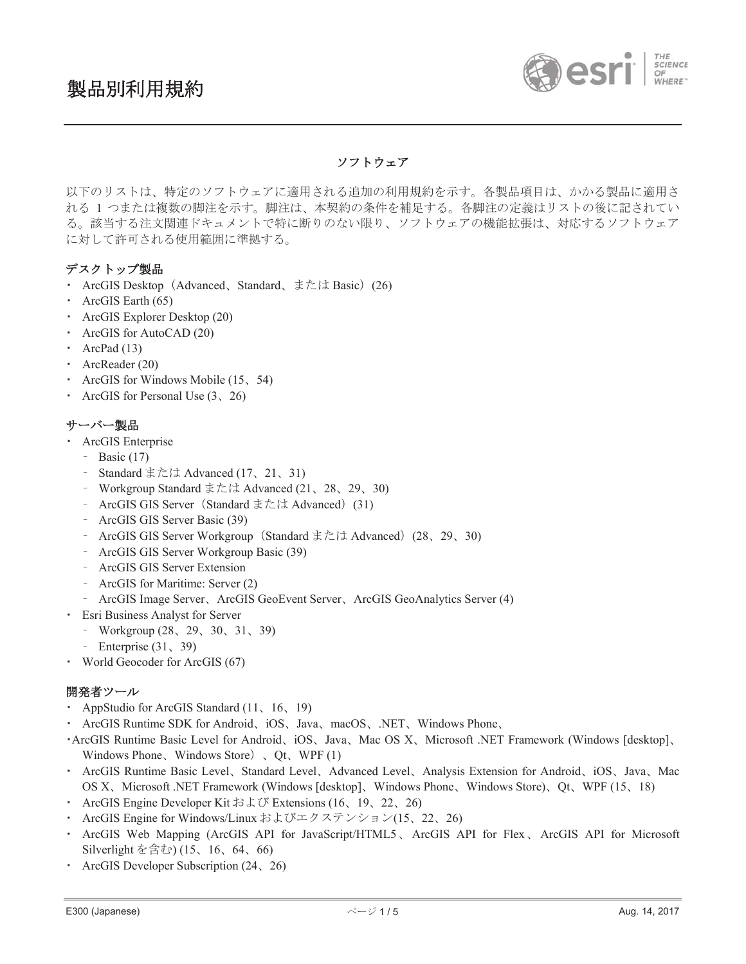

# ソフトウェア

以下のリストは、特定のソフトウェアに適用される追加の利用規約を示す。各製品項目は、かかる製品に適用さ れる 1 つまたは複数の脚注を示す。脚注は、本契約の条件を補足する。各脚注の定義はリストの後に記されてい る。該当する注文関連ドキュメントで特に断りのない限り、ソフトウェアの機能拡張は、対応するソフトウェア に対して許可される使用範囲に準拠する。

# デスクトップ製品

- ArcGIS Desktop (Advanced, Standard, または Basic) (26)
- $\cdot$  ArcGIS Earth (65)
- ArcGIS Explorer Desktop (20)
- ArcGIS for AutoCAD (20)
- ArcPad  $(13)$
- $\cdot$  ArcReader (20)
- ArcGIS for Windows Mobile (15, 54)
- ArcGIS for Personal Use  $(3, 26)$

## サーバー製品

- **ArcGIS Enterprise** 
	- $-$  Basic (17)
	- Standard または Advanced (17, 21, 31)
	- Workgroup Standard または Advanced (21、28、29、30)
	- ArcGIS GIS Server (Standard または Advanced) (31)
	- ArcGIS GIS Server Basic (39)
	- ArcGIS GIS Server Workgroup (Standard または Advanced) (28、29、30)
	- ̽ ArcGIS GIS Server Workgroup Basic (39)
	- ArcGIS GIS Server Extension
	- ArcGIS for Maritime: Server (2)
	- ArcGIS Image Server, ArcGIS GeoEvent Server, ArcGIS GeoAnalytics Server (4)
- **·** Esri Business Analyst for Server
	- Workgroup  $(28, 29, 30, 31, 39)$
	- Enterprise  $(31, 39)$
- World Geocoder for ArcGIS (67)

## 開発者ツール

- AppStudio for ArcGIS Standard (11, 16, 19)
- ArcGIS Runtime SDK for Android, iOS, Java, macOS, .NET, Windows Phone,
- ArcGIS Runtime Basic Level for Android, iOS, Java, Mac OS X, Microsoft .NET Framework (Windows [desktop], Windows Phone, Windows Store $)$ , Qt, WPF (1)
- ArcGIS Runtime Basic Level, Standard Level, Advanced Level, Analysis Extension for Android, iOS, Java, Mac OS X, Microsoft .NET Framework (Windows [desktop], Windows Phone, Windows Store), Ot, WPF (15, 18)
- ArcGIS Engine Developer Kit  $\ddot{\approx} \ddot{\perp}$  Extensions (16, 19, 22, 26)
- ArcGIS Engine for Windows/Linux およびエクステンション(15、22、26)
- ArcGIS Web Mapping (ArcGIS API for JavaScript/HTML5, ArcGIS API for Flex, ArcGIS API for Microsoft Silverlight を含む) (15、16、64、66)
- ArcGIS Developer Subscription (24, 26)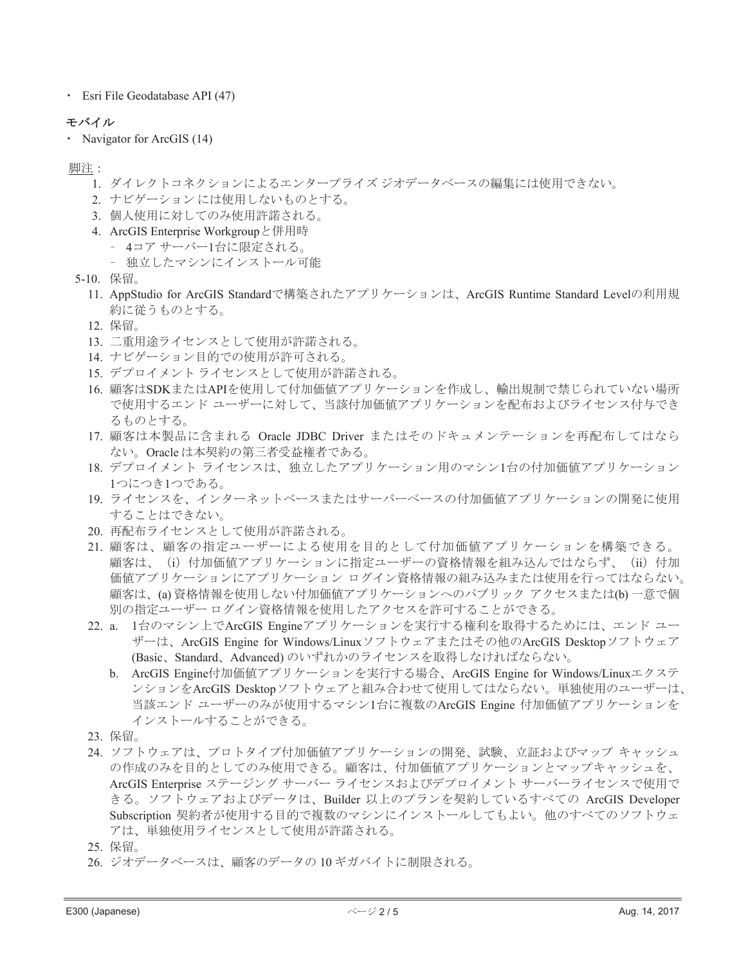**Belogy** Esri File Geodatabase API (47)

#### モバイル

• Navigator for ArcGIS (14)

脚注:

- 1. ダイレクトコネクションによるエンタープライズ ジオデータベースの編集には使用できない。
- 2. ナビゲーションには使用しないものとする。
- 3. 個人使用に対してのみ使用許諾される。
- 4. ArcGIS Enterprise Workgroup と併用時
	- 4コアサーバー1台に限定される。
	- 独立したマシンにインストール可能
- $5-10.$  保留。
	- 11. AppStudio for ArcGIS Standardで構築されたアプリケーションは、ArcGIS Runtime Standard Levelの利用規 約に従うものとする。
	- 12. 保留。
	- 13. 二重用途ライセンスとして使用が許諾される。
	- 14. ナビゲーション目的での使用が許可される。
	- 15. デプロイメント ライセンスとして使用が許諾される。
	- 16. 顧客はSDKまたはAPIを使用して付加価値アプリケーションを作成し、輸出規制で禁じられていない場所 で使用するエンド ユーザーに対して、当該付加価値アプリケーションを配布およびライセンス付与でき るものとする。
	- 17. 顧客は本製品に含まれる Oracle JDBC Driver またはそのドキュメンテーションを再配布してはなら ない。Oracle は本契約の第三者受益権者である。
	- 18. デプロイメント ライセンスは、独立したアプリケーション用のマシン1台の付加価値アプリケーション 1つにつき1つである。
	- 19. ライセンスを、インターネットベースまたはサーバーベースの付加価値アプリケーションの開発に使用 することはできない。
	- 20. 再配布ライセンスとして使用が許諾される。
	- 21. 顧客は、顧客の指定ユーザーによる使用を目的として付加価値アプリケーションを構築できる。 顧客は、 (i) 付加価値アプリケーションに指定ユーザーの資格情報を組み込んではならず、 (ii) 付加 価値アプリケーション ログイン資格情報の組み込みまたは使用を行ってはならない。 顧客は、(a) 資格情報を使用しない付加価値アプリケーションへのパブリック アクセスまたは(b) 一意で個 別の指定ユーザーログイン資格情報を使用したアクセスを許可することができる。
	- 22. a. 1台のマシン上でArcGIS Engineアプリケーションを実行する権利を取得するためには、エンド ユー ザーは、ArcGIS Engine for Windows/Linuxソフトウェアまたはその他のArcGIS Desktopソフトウェア (Basic、Standard、Advanced) のいずれかのライセンスを取得しなければならない。
		- b. ArcGIS Engine付加価値アプリケーションを実行する場合、ArcGIS Engine for Windows/Linuxエクステ ンションをArcGIS Desktopソフトウェアと組み合わせて使用してはならない。単独使用のユーザーは、 当該エンド ユーザーのみが使用するマシン1台に複数のArcGIS Engine 付加価値アプリケーションを インストールすることができる。
	- 23. 保留。
	- 24. ソフトウェアは、プロトタイプ付加価値アプリケーションの開発、試験、立証およびマップ キャッシュ の作成のみを目的としてのみ使用できる。顧客は、付加価値アプリケーションとマップキャッシュを、 ArcGIS Enterprise ステージング サーバー ライセンスおよびデプロイメント サーバーライセンスで使用で きる。ソフトウェアおよびデータは、Builder 以上のプランを契約しているすべての ArcGIS Developer Subscription 契約者が使用する目的で複数のマシンにインストールしてもよい。他のすべてのソフトウェ アは、単独使用ライセンスとして使用が許諾される。
	- 25. 保留。
	- 26. ジオデータベースは、顧客のデータの10ギガバイトに制限される。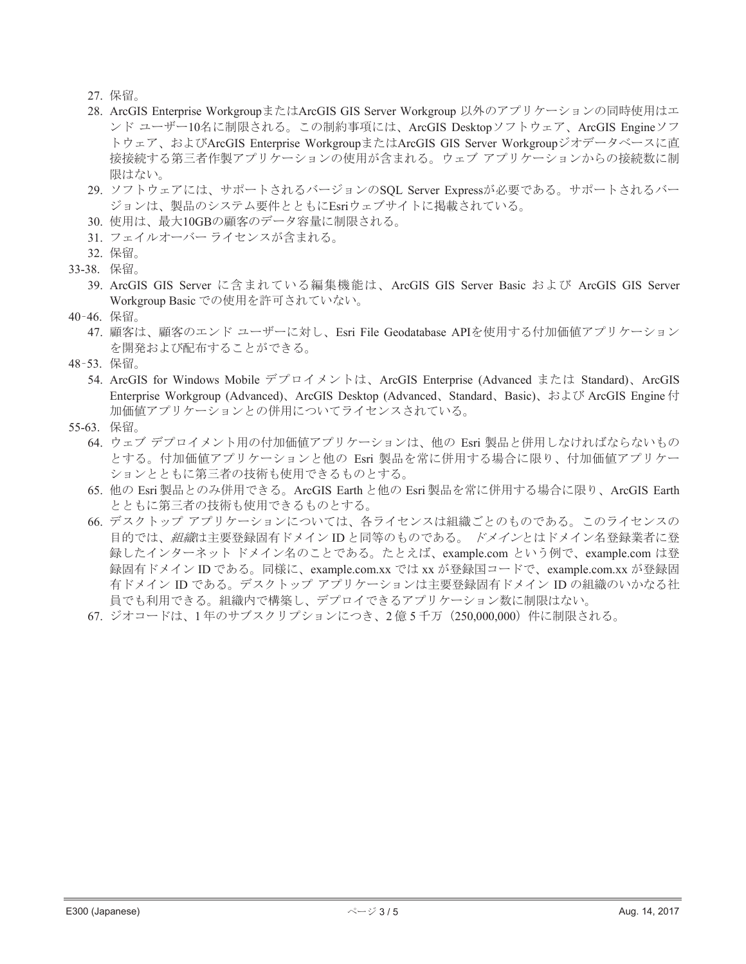- 27. 保留。
- 28. ArcGIS Enterprise WorkgroupまたはArcGIS GIS Server Workgroup 以外のアプリケーションの同時使用はエ ンド ユーザー10名に制限される。この制約事項には、ArcGIS Desktopソフトウェア、ArcGIS Engineソフ トウェア、およびArcGIS Enterprise WorkgroupまたはArcGIS GIS Server Workgroupジオデータベースに直 接接続する第三者作製アプリケーションの使用が含まれる。ウェブ アプリケーションからの接続数に制 限はない。
- 29. ソフトウェアには、サポートされるバージョンのSQL Server Expressが必要である。サポートされるバー ジョンは、製品のシステム要件とともにEsriウェブサイトに掲載されている。
- 30. 使用は、最大10GBの顧客のデータ容量に制限される。
- 31. フェイルオーバー ライセンスが含まれる。

- 33-38. 保留。
	- 39. ArcGIS GIS Server に含まれている編集機能は、ArcGIS GIS Server Basic および ArcGIS GIS Server Workgroup Basic での使用を許可されていない。
- 40-46. 保留。
	- 47. 顧客は、顧客のエンド ユーザーに対し、Esri File Geodatabase APIを使用する付加価値アプリケーション を開発および配布することができる。
- 48-53. 保留。
	- 54. ArcGIS for Windows Mobile デプロイメントは、ArcGIS Enterprise (Advanced または Standard)、ArcGIS Enterprise Workgroup (Advanced)、ArcGIS Desktop (Advanced、Standard、Basic)、および ArcGIS Engine付 加価値アプリケーションとの併用についてライセンスされている。
- 55-63. 保留。
	- 64. ウェブ デプロイメント用の付加価値アプリケーションは、他の Esri 製品と併用しなければならないもの とする。付加価値アプリケーションと他の Esri 製品を常に併用する場合に限り、付加価値アプリケー ションとともに第三者の技術も使用できるものとする。
	- 65. 他の Esri 製品とのみ併用できる。ArcGIS Earth と他の Esri 製品を常に併用する場合に限り、ArcGIS Earth とともに第三者の技術も使用できるものとする。
	- 66. デスクトップ アプリケーションについては、各ライセンスは組織ごとのものである。このライセンスの 目的では、*組織*は主要登録固有ドメイン ID と同等のものである。 ドメインとはドメイン名登録業者に登 録したインターネット ドメイン名のことである。たとえば、example.com という例で、example.com は登 録固有ドメイン ID である。同様に、example.com.xx では xx が登録国コードで、example.com.xx が登録固 有ドメイン ID である。デスクトップ アプリケーションは主要登録固有ドメイン ID の組織のいかなる社 員でも利用できる。組織内で構築し、デプロイできるアプリケーション数に制限はない。
	- 67. ジオコードは、1年のサブスクリプションにつき、2億5千万 (250,000,000) 件に制限される。

<sup>32.</sup> 保留。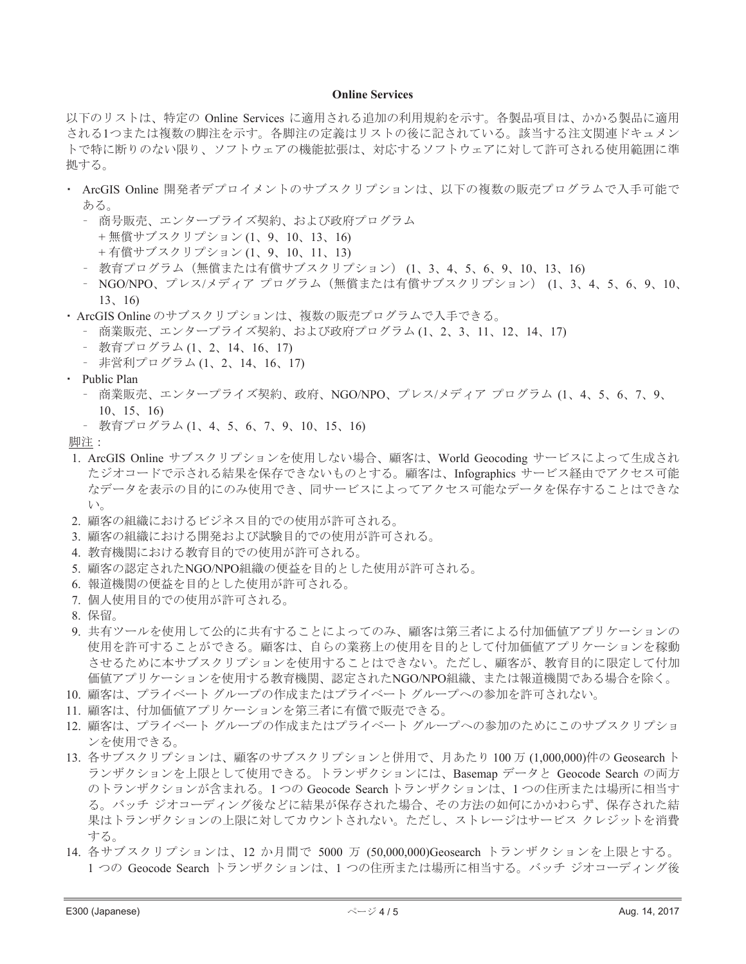#### **Online Services**

以下のリストは、特定の Online Services に適用される追加の利用規約を示す。各製品項目は、かかる製品に適用 される1つまたは複数の脚注を示す。各脚注の定義はリストの後に記されている。該当する注文関連ドキュメン トで特に断りのない限り、ソフトウェアの機能拡張は、対応するソフトウェアに対して許可される使用範囲に準 拠する。

- ArcGIS Online 開発者デプロイメントのサブスクリプションは、以下の複数の販売プログラムで入手可能で ある。
	- 商号販売、エンタープライズ契約、および政府プログラム
		- + 無償サブスクリプション (1、9、10、13、16)
		- +有償サブスクリプション (1、9、10、11、13)
	- 教育プログラム (無償または有償サブスクリプション) (1、3、4、5、6、9、10、13、16)
	- NGO/NPO、プレス/メディア プログラム (無償または有償サブスクリプション) (1、3、4、5、6、9、10、  $13, 16)$
- · ArcGIS Online のサブスクリプションは、複数の販売プログラムで入手できる。
	- 商業販売、エンタープライズ契約、および政府プログラム(1、2、3、11、12、14、17)
	- 教育プログラム(1、2、14、16、17)
	- 非営利プログラム(1、2、14、16、17)
- Public Plan
	- 商業販売、エンタープライズ契約、政府、NGO/NPO、プレス/メディア プログラム (1、4、5、6、7、9、  $10, 15, 16$
	- 教育プログラム(1、4、5、6、7、9、10、15、16)

脚注:

- 1. ArcGIS Online サブスクリプションを使用しない場合、顧客は、World Geocoding サービスによって生成され たジオコードで示される結果を保存できないものとする。顧客は、Infographics サービス経由でアクセス可能 なデータを表示の目的にのみ使用でき、同サービスによってアクセス可能なデータを保存することはできな  $V^{\lambda}$
- 2. 顧客の組織におけるビジネス目的での使用が許可される。
- 3. 顧客の組織における開発および試験目的での使用が許可される。
- 4. 教育機関における教育目的での使用が許可される。
- 5. 顧客の認定されたNGO/NPO組織の便益を目的とした使用が許可される。
- 6. 報道機関の便益を目的とした使用が許可される。
- 7. 個人使用目的での使用が許可される。
- 8. 保留。
- 9. 共有ツールを使用して公的に共有することによってのみ、顧客は第三者による付加価値アプリケーションの 使用を許可することができる。顧客は、自らの業務上の使用を目的として付加価値アプリケーションを稼動 させるために本サブスクリプションを使用することはできない。ただし、顧客が、教育目的に限定して付加 価値アプリケーションを使用する教育機関、認定されたNGO/NPO組織、または報道機関である場合を除く。
- 10. 顧客は、プライベート グループの作成またはプライベート グループへの参加を許可されない。
- 11. 顧客は、付加価値アプリケーションを第三者に有償で販売できる。
- 12. 顧客は、 プライベート グループの作成またはプライベート グループへの参加のためにこのサブスクリプショ ンを使用できる。
- 13. 各サブスクリプションは、顧客のサブスクリプションと併用で、月あたり 100 万 (1,000,000)件の Geosearch ト ランザクションを上限として使用できる。トランザクションには、Basemap データと Geocode Search の両方 のトランザクションが含まれる。1つの Geocode Search トランザクションは、1つの住所または場所に相当す る。 バッチ ジオコーディング後などに結果が保存された場合、その方法の如何にかかわらず、保存された結 果はトランザクションの上限に対してカウントされない。ただし、ストレージはサービス クレジットを消費 する。
- 14. 各サブスクリプションは、12 か月間で 5000 万 (50,000,000) Geosearch トランザクションを上限とする。 1つの Geocode Search トランザクションは、1 つの住所または場所に相当する。バッチ ジオコーディング後